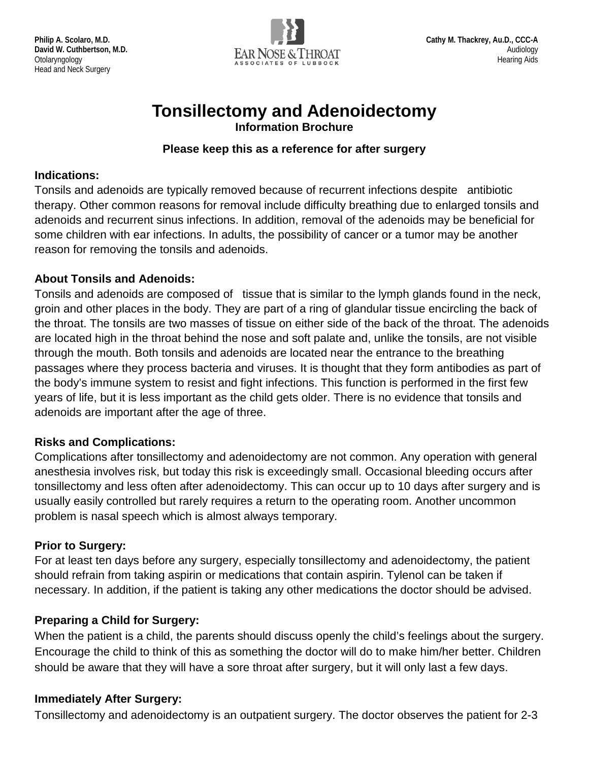

# **Tonsillectomy and Adenoidectomy**

**Information Brochure**

#### **Please keep this as a reference for after surgery**

#### **Indications:**

Tonsils and adenoids are typically removed because of recurrent infections despite antibiotic therapy. Other common reasons for removal include difficulty breathing due to enlarged tonsils and adenoids and recurrent sinus infections. In addition, removal of the adenoids may be beneficial for some children with ear infections. In adults, the possibility of cancer or a tumor may be another reason for removing the tonsils and adenoids.

## **About Tonsils and Adenoids:**

Tonsils and adenoids are composed of tissue that is similar to the lymph glands found in the neck, groin and other places in the body. They are part of a ring of glandular tissue encircling the back of the throat. The tonsils are two masses of tissue on either side of the back of the throat. The adenoids are located high in the throat behind the nose and soft palate and, unlike the tonsils, are not visible through the mouth. Both tonsils and adenoids are located near the entrance to the breathing passages where they process bacteria and viruses. It is thought that they form antibodies as part of the body's immune system to resist and fight infections. This function is performed in the first few years of life, but it is less important as the child gets older. There is no evidence that tonsils and adenoids are important after the age of three.

## **Risks and Complications:**

Complications after tonsillectomy and adenoidectomy are not common. Any operation with general anesthesia involves risk, but today this risk is exceedingly small. Occasional bleeding occurs after tonsillectomy and less often after adenoidectomy. This can occur up to 10 days after surgery and is usually easily controlled but rarely requires a return to the operating room. Another uncommon problem is nasal speech which is almost always temporary.

## **Prior to Surgery:**

For at least ten days before any surgery, especially tonsillectomy and adenoidectomy, the patient should refrain from taking aspirin or medications that contain aspirin. Tylenol can be taken if necessary. In addition, if the patient is taking any other medications the doctor should be advised.

# **Preparing a Child for Surgery:**

When the patient is a child, the parents should discuss openly the child's feelings about the surgery. Encourage the child to think of this as something the doctor will do to make him/her better. Children should be aware that they will have a sore throat after surgery, but it will only last a few days.

## **Immediately After Surgery:**

Tonsillectomy and adenoidectomy is an outpatient surgery. The doctor observes the patient for 2-3